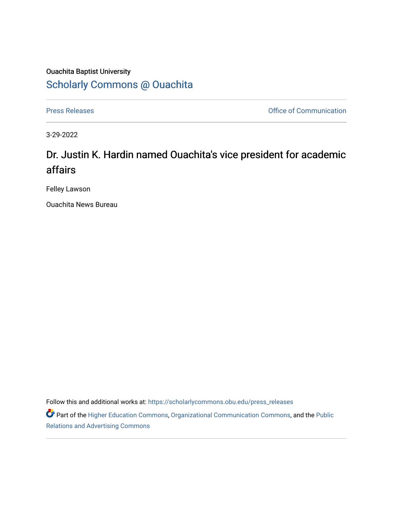### Ouachita Baptist University [Scholarly Commons @ Ouachita](https://scholarlycommons.obu.edu/)

[Press Releases](https://scholarlycommons.obu.edu/press_releases) **Press Releases Communication** 

3-29-2022

## Dr. Justin K. Hardin named Ouachita's vice president for academic affairs

Felley Lawson

Ouachita News Bureau

Follow this and additional works at: [https://scholarlycommons.obu.edu/press\\_releases](https://scholarlycommons.obu.edu/press_releases?utm_source=scholarlycommons.obu.edu%2Fpress_releases%2F1074&utm_medium=PDF&utm_campaign=PDFCoverPages)

Part of the [Higher Education Commons,](http://network.bepress.com/hgg/discipline/1245?utm_source=scholarlycommons.obu.edu%2Fpress_releases%2F1074&utm_medium=PDF&utm_campaign=PDFCoverPages) [Organizational Communication Commons,](http://network.bepress.com/hgg/discipline/335?utm_source=scholarlycommons.obu.edu%2Fpress_releases%2F1074&utm_medium=PDF&utm_campaign=PDFCoverPages) and the [Public](http://network.bepress.com/hgg/discipline/336?utm_source=scholarlycommons.obu.edu%2Fpress_releases%2F1074&utm_medium=PDF&utm_campaign=PDFCoverPages) [Relations and Advertising Commons](http://network.bepress.com/hgg/discipline/336?utm_source=scholarlycommons.obu.edu%2Fpress_releases%2F1074&utm_medium=PDF&utm_campaign=PDFCoverPages)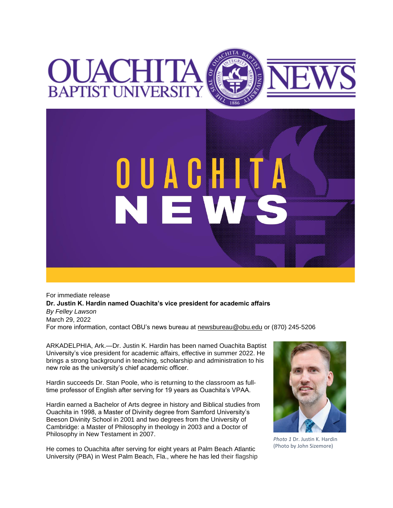# OUACHITA **BAPTIST UNIVERSI**



For immediate release **Dr. Justin K. Hardin named Ouachita's vice president for academic affairs** *By Felley Lawson* March 29, 2022 For more information, contact OBU's news bureau at [newsbureau@obu.edu](mailto:newsbureau@obu.edu) or (870) 245-5206

ARKADELPHIA, Ark.—Dr. Justin K. Hardin has been named Ouachita Baptist University's vice president for academic affairs, effective in summer 2022. He brings a strong background in teaching, scholarship and administration to his new role as the university's chief academic officer.

Hardin succeeds Dr. Stan Poole, who is returning to the classroom as fulltime professor of English after serving for 19 years as Ouachita's VPAA.

Hardin earned a Bachelor of Arts degree in history and Biblical studies from Ouachita in 1998, a Master of Divinity degree from Samford University's Beeson Divinity School in 2001 and two degrees from the University of Cambridge: a Master of Philosophy in theology in 2003 and a Doctor of Philosophy in New Testament in 2007.

He comes to Ouachita after serving for eight years at Palm Beach Atlantic University (PBA) in West Palm Beach, Fla., where he has led their flagship



*Photo 1* Dr. Justin K. Hardin (Photo by John Sizemore)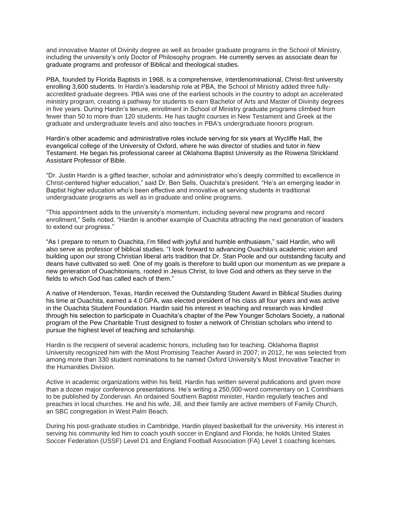and innovative Master of Divinity degree as well as broader graduate programs in the School of Ministry, including the university's only Doctor of Philosophy program. He currently serves as associate dean for graduate programs and professor of Biblical and theological studies.

PBA, founded by Florida Baptists in 1968, is a comprehensive, interdenominational, Christ-first university enrolling 3,600 students. In Hardin's leadership role at PBA, the School of Ministry added three fullyaccredited graduate degrees. PBA was one of the earliest schools in the country to adopt an accelerated ministry program, creating a pathway for students to earn Bachelor of Arts and Master of Divinity degrees in five years. During Hardin's tenure, enrollment in School of Ministry graduate programs climbed from fewer than 50 to more than 120 students. He has taught courses in New Testament and Greek at the graduate and undergraduate levels and also teaches in PBA's undergraduate honors program.

Hardin's other academic and administrative roles include serving for six years at Wycliffe Hall, the evangelical college of the University of Oxford, where he was director of studies and tutor in New Testament. He began his professional career at Oklahoma Baptist University as the Rowena Strickland Assistant Professor of Bible.

"Dr. Justin Hardin is a gifted teacher, scholar and administrator who's deeply committed to excellence in Christ-centered higher education," said Dr. Ben Sells, Ouachita's president. "He's an emerging leader in Baptist higher education who's been effective and innovative at serving students in traditional undergraduate programs as well as in graduate and online programs.

"This appointment adds to the university's momentum, including several new programs and record enrollment," Sells noted. "Hardin is another example of Ouachita attracting the next generation of leaders to extend our progress."

"As I prepare to return to Ouachita, I'm filled with joyful and humble enthusiasm," said Hardin, who will also serve as professor of biblical studies. "I look forward to advancing Ouachita's academic vision and building upon our strong Christian liberal arts tradition that Dr. Stan Poole and our outstanding faculty and deans have cultivated so well. One of my goals is therefore to build upon our momentum as we prepare a new generation of Ouachitonians, rooted in Jesus Christ, to love God and others as they serve in the fields to which God has called each of them."

A native of Henderson, Texas, Hardin received the Outstanding Student Award in Biblical Studies during his time at Ouachita, earned a 4.0 GPA, was elected president of his class all four years and was active in the Ouachita Student Foundation. Hardin said his interest in teaching and research was kindled through his selection to participate in Ouachita's chapter of the Pew Younger Scholars Society, a national program of the Pew Charitable Trust designed to foster a network of Christian scholars who intend to pursue the highest level of teaching and scholarship.

Hardin is the recipient of several academic honors, including two for teaching. Oklahoma Baptist University recognized him with the Most Promising Teacher Award in 2007; in 2012, he was selected from among more than 330 student nominations to be named Oxford University's Most Innovative Teacher in the Humanities Division.

Active in academic organizations within his field, Hardin has written several publications and given more than a dozen major conference presentations. He's writing a 250,000-word commentary on 1 Corinthians to be published by Zondervan. An ordained Southern Baptist minister, Hardin regularly teaches and preaches in local churches. He and his wife, Jill, and their family are active members of Family Church, an SBC congregation in West Palm Beach.

During his post-graduate studies in Cambridge, Hardin played basketball for the university. His interest in serving his community led him to coach youth soccer in England and Florida; he holds United States Soccer Federation (USSF) Level D1 and England Football Association (FA) Level 1 coaching licenses.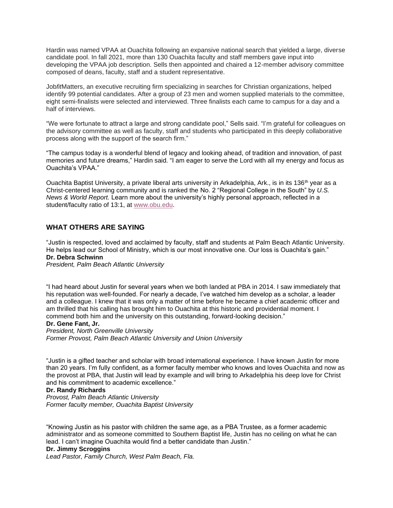Hardin was named VPAA at Ouachita following an expansive national search that yielded a large, diverse candidate pool. In fall 2021, more than 130 Ouachita faculty and staff members gave input into developing the VPAA job description. Sells then appointed and chaired a 12-member advisory committee composed of deans, faculty, staff and a student representative.

Job*fit*Matters, an executive recruiting firm specializing in searches for Christian organizations, helped identify 99 potential candidates. After a group of 23 men and women supplied materials to the committee, eight semi-finalists were selected and interviewed. Three finalists each came to campus for a day and a half of interviews.

"We were fortunate to attract a large and strong candidate pool," Sells said. "I'm grateful for colleagues on the advisory committee as well as faculty, staff and students who participated in this deeply collaborative process along with the support of the search firm."

"The campus today is a wonderful blend of legacy and looking ahead, of tradition and innovation, of past memories and future dreams," Hardin said. "I am eager to serve the Lord with all my energy and focus as Ouachita's VPAA."

Ouachita Baptist University, a private liberal arts university in Arkadelphia, Ark., is in its 136<sup>th</sup> year as a Christ-centered learning community and is ranked the No. 2 "Regional College in the South" by *U.S. News & World Report.* Learn more about the university's highly personal approach, reflected in a student/faculty ratio of 13:1, at [www.obu.edu.](https://nam12.safelinks.protection.outlook.com/?url=http%3A%2F%2Fwww.obu.edu%2F&data=04%7C01%7Cmortensona%40OBU.EDU%7C247c5fe067ac4a1dfa3e08da11b4c0ac%7C59a7df8e1953458ba12bb585f94a11d9%7C1%7C0%7C637841765279517068%7CUnknown%7CTWFpbGZsb3d8eyJWIjoiMC4wLjAwMDAiLCJQIjoiV2luMzIiLCJBTiI6Ik1haWwiLCJXVCI6Mn0%3D%7C3000&sdata=phMub24B4%2Bf1ut1pA8ld9H%2FCIb7UBuOEVwQMZLzcEpI%3D&reserved=0)

#### **WHAT OTHERS ARE SAYING**

"Justin is respected, loved and acclaimed by faculty, staff and students at Palm Beach Atlantic University. He helps lead our School of Ministry, which is our most innovative one. Our loss is Ouachita's gain." **Dr. Debra Schwinn**

*President, Palm Beach Atlantic University*

"I had heard about Justin for several years when we both landed at PBA in 2014. I saw immediately that his reputation was well-founded. For nearly a decade, I've watched him develop as a scholar, a leader and a colleague. I knew that it was only a matter of time before he became a chief academic officer and am thrilled that his calling has brought him to Ouachita at this historic and providential moment. I commend both him and the university on this outstanding, forward-looking decision."

#### **Dr. Gene Fant, Jr.**

*President, North Greenville University Former Provost, Palm Beach Atlantic University and Union University*

"Justin is a gifted teacher and scholar with broad international experience. I have known Justin for more than 20 years. I'm fully confident, as a former faculty member who knows and loves Ouachita and now as the provost at PBA, that Justin will lead by example and will bring to Arkadelphia his deep love for Christ and his commitment to academic excellence."

#### **Dr. Randy Richards**

*Provost, Palm Beach Atlantic University Former faculty member, Ouachita Baptist University*

"Knowing Justin as his pastor with children the same age, as a PBA Trustee, as a former academic administrator and as someone committed to Southern Baptist life, Justin has no ceiling on what he can lead. I can't imagine Ouachita would find a better candidate than Justin."

#### **Dr. Jimmy Scroggins**

*Lead Pastor, Family Church, West Palm Beach, Fla.*